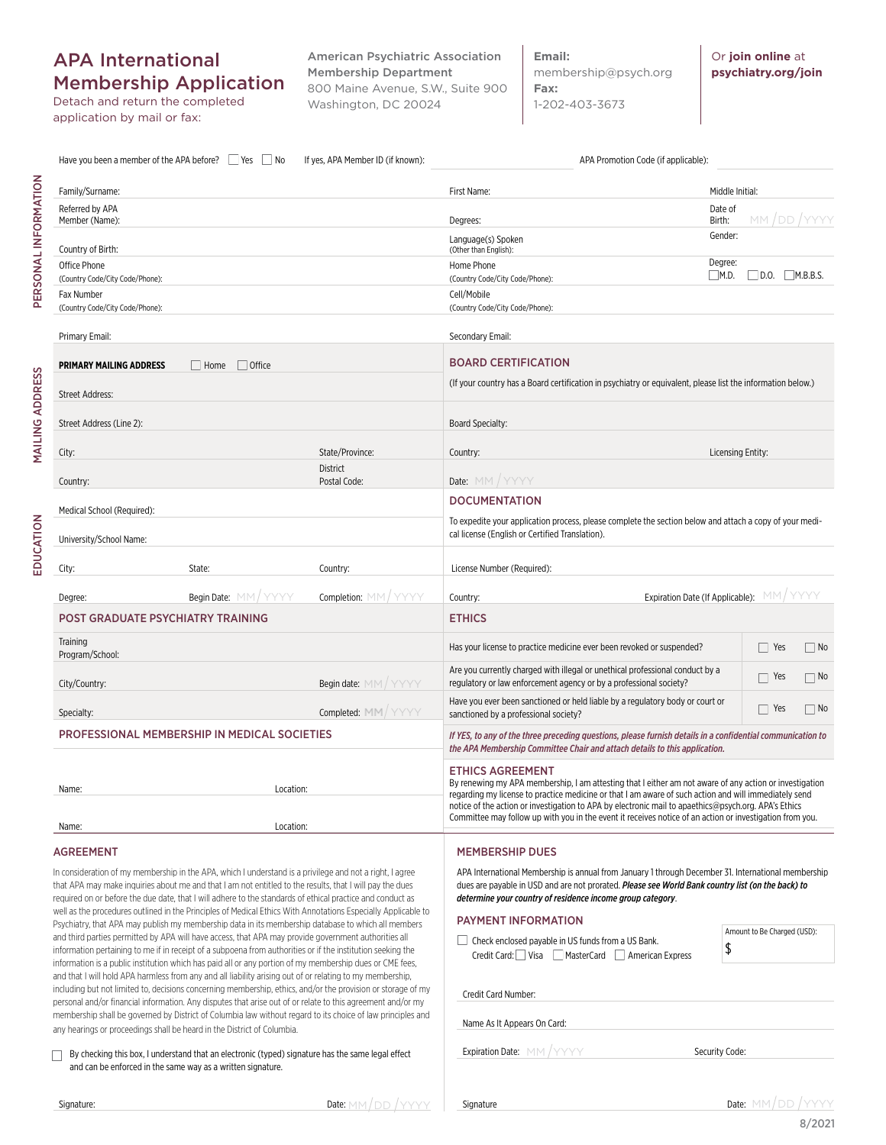## APA International Membership Application

Detach and return the completed application by mail or fax:

Family/Surname: First Name: Middle Initial:

Language(s) Spoken (Other than English):

Home Phone

Have you been a member of the APA before?  $\Box$  Yes  $\Box$  No If yes, APA Member ID (if known):  $\Box$  APA Promotion Code (if applicable):

Member (Name): Degrees:

**Email:** membership@psych.org **Fax:**  1-202-403-3673

Or **join online** at **psychiatry.org/join**

MM /DD / YYYY

Degree:

Gender:

Date of Birth:

PERSONAL INFORMATION PERSONAL INFORMATION

Referred by APA

Country of Birth:

Office Phone

**MAILING ADDRESS** MAILING ADDRESS

EDUCATION

EDUCATION

| (Country Code/City Code/Phone):                           |                     |                                                                                                                                                                                          | (Country Code/City Code/Phone):                                                                                                                                                                               | M.D.<br>$D.0$ .<br>M.B.B.S. |
|-----------------------------------------------------------|---------------------|------------------------------------------------------------------------------------------------------------------------------------------------------------------------------------------|---------------------------------------------------------------------------------------------------------------------------------------------------------------------------------------------------------------|-----------------------------|
| Fax Number                                                |                     |                                                                                                                                                                                          | Cell/Mobile                                                                                                                                                                                                   |                             |
| (Country Code/City Code/Phone):                           |                     |                                                                                                                                                                                          | (Country Code/City Code/Phone):                                                                                                                                                                               |                             |
| Primary Email:                                            |                     |                                                                                                                                                                                          | Secondary Email:                                                                                                                                                                                              |                             |
| $\Box$ Office<br><b>PRIMARY MAILING ADDRESS</b><br>  Home |                     | <b>BOARD CERTIFICATION</b>                                                                                                                                                               |                                                                                                                                                                                                               |                             |
| <b>Street Address:</b>                                    |                     | (If your country has a Board certification in psychiatry or equivalent, please list the information below.)                                                                              |                                                                                                                                                                                                               |                             |
| Street Address (Line 2):                                  |                     |                                                                                                                                                                                          | Board Specialty:                                                                                                                                                                                              |                             |
| City:                                                     |                     | State/Province:                                                                                                                                                                          | Country:                                                                                                                                                                                                      | Licensing Entity:           |
| Country:                                                  |                     | <b>District</b><br>Postal Code:                                                                                                                                                          | Date: MM / YYYY                                                                                                                                                                                               |                             |
|                                                           |                     |                                                                                                                                                                                          | <b>DOCUMENTATION</b>                                                                                                                                                                                          |                             |
| Medical School (Required):                                |                     |                                                                                                                                                                                          | To expedite your application process, please complete the section below and attach a copy of your medi-                                                                                                       |                             |
| University/School Name:                                   |                     |                                                                                                                                                                                          | cal license (English or Certified Translation).                                                                                                                                                               |                             |
|                                                           |                     |                                                                                                                                                                                          |                                                                                                                                                                                                               |                             |
| City:                                                     | State:              | Country:                                                                                                                                                                                 | License Number (Required):                                                                                                                                                                                    |                             |
| Degree:                                                   | Begin Date: MM/YYYY | Completion: MM/YYYY                                                                                                                                                                      | Expiration Date (If Applicable):<br>Country:                                                                                                                                                                  | MM/YYYY                     |
| <b>POST GRADUATE PSYCHIATRY TRAINING</b>                  |                     |                                                                                                                                                                                          | <b>ETHICS</b>                                                                                                                                                                                                 |                             |
| Training<br>Program/School:                               |                     |                                                                                                                                                                                          | Has your license to practice medicine ever been revoked or suspended?                                                                                                                                         | Yes<br>$\vert$ No           |
| City/Country:                                             |                     | Begin date: MM/YYYY                                                                                                                                                                      | Are you currently charged with illegal or unethical professional conduct by a<br>regulatory or law enforcement agency or by a professional society?                                                           | Yes<br>□ No                 |
| Specialty:                                                |                     | Completed: MM/YYYY                                                                                                                                                                       | Have you ever been sanctioned or held liable by a regulatory body or court or<br>sanctioned by a professional society?                                                                                        | Yes<br>∏ No                 |
| PROFESSIONAL MEMBERSHIP IN MEDICAL SOCIETIES              |                     | If YES, to any of the three preceding questions, please furnish details in a confidential communication to<br>the APA Membership Committee Chair and attach details to this application. |                                                                                                                                                                                                               |                             |
|                                                           |                     |                                                                                                                                                                                          | <b>ETHICS AGREEMENT</b>                                                                                                                                                                                       |                             |
| Name:                                                     | Location:           |                                                                                                                                                                                          | By renewing my APA membership, I am attesting that I either am not aware of any action or investigation                                                                                                       |                             |
|                                                           |                     |                                                                                                                                                                                          | regarding my license to practice medicine or that I am aware of such action and will immediately send<br>notice of the action or investigation to APA by electronic mail to apaethics@psych.org. APA's Ethics |                             |
|                                                           |                     |                                                                                                                                                                                          | Committee may follow up with you in the event it receives notice of an action or investigation from you.                                                                                                      |                             |
| Name:                                                     | Location:           |                                                                                                                                                                                          |                                                                                                                                                                                                               |                             |
| AGREEMENT                                                 |                     |                                                                                                                                                                                          | <b>MEMBERSHIP DUES</b>                                                                                                                                                                                        |                             |

In consideration of my membership in the APA, which I understand is a privilege and not a right, I agree that APA may make inquiries about me and that I am not entitled to the results, that I will pay the dues required on or before the due date, that I will adhere to the standards of ethical practice and conduct as well as the procedures outlined in the Principles of Medical Ethics With Annotations Especially Applicable to Psychiatry, that APA may publish my membership data in its membership database to which all members and third parties permitted by APA will have access, that APA may provide government authorities all information pertaining to me if in receipt of a subpoena from authorities or if the institution seeking the information is a public institution which has paid all or any portion of my membership dues or CME fees, and that I will hold APA harmless from any and all liability arising out of or relating to my membership, including but not limited to, decisions concerning membership, ethics, and/or the provision or storage of my personal and/or financial information. Any disputes that arise out of or relate to this agreement and/or my membership shall be governed by District of Columbia law without regard to its choice of law principles and any hearings or proceedings shall be heard in the District of Columbia.

By checking this box, I understand that an electronic (typed) signature has the same legal effect and can be enforced in the same way as a written signature.

APA International Membership is annual from January 1 through December 31. International membership dues are payable in USD and are not prorated. *Please see World Bank country list (on the back) to determine your country of residence income group category*.

## PAYMENT INFORMATION

 Check enclosed payable in US funds from a US Bank. Credit Card: Visa MasterCard American Express

Credit Card Number:

Name As It Appears On Card:

Expiration Date: MM / YYYYY Contract the Security Code:

\$

Signature

Amount to Be Charged (USD):